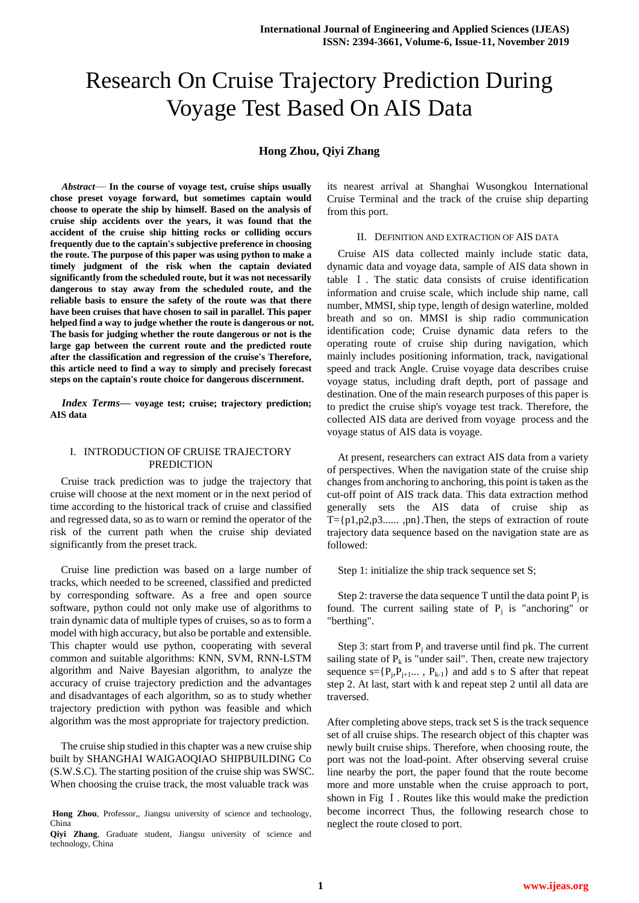# Research On Cruise Trajectory Prediction During Voyage Test Based On AIS Data

# **Hong Zhou, Qiyi Zhang**

*Abstract*— **In the course of voyage test, cruise ships usually chose preset voyage forward, but sometimes captain would choose to operate the ship by himself. Based on the analysis of cruise ship accidents over the years, it was found that the accident of the cruise ship hitting rocks or colliding occurs frequently due to the captain's subjective preference in choosing the route. The purpose of this paper was using python to make a timely judgment of the risk when the captain deviated significantly from the scheduled route, but it was not necessarily dangerous to stay away from the scheduled route, and the reliable basis to ensure the safety of the route was that there have been cruises that have chosen to sail in parallel. This paper helped find a way to judge whether the route is dangerous or not. The basis for judging whether the route dangerous or not is the large gap between the current route and the predicted route after the classification and regression of the cruise's Therefore, this article need to find a way to simply and precisely forecast steps on the captain's route choice for dangerous discernment.**

*Index Terms***— voyage test; cruise; trajectory prediction; AIS data**

## I. INTRODUCTION OF CRUISE TRAJECTORY PREDICTION

Cruise track prediction was to judge the trajectory that cruise will choose at the next moment or in the next period of time according to the historical track of cruise and classified and regressed data, so as to warn or remind the operator of the risk of the current path when the cruise ship deviated significantly from the preset track.

Cruise line prediction was based on a large number of tracks, which needed to be screened, classified and predicted by corresponding software. As a free and open source software, python could not only make use of algorithms to train dynamic data of multiple types of cruises, so as to form a model with high accuracy, but also be portable and extensible. This chapter would use python, cooperating with several common and suitable algorithms: KNN, SVM, RNN-LSTM algorithm and Naive Bayesian algorithm, to analyze the accuracy of cruise trajectory prediction and the advantages and disadvantages of each algorithm, so as to study whether trajectory prediction with python was feasible and which algorithm was the most appropriate for trajectory prediction.

The cruise ship studied in this chapter was a new cruise ship built by SHANGHAI WAIGAOQIAO SHIPBUILDING Co (S.W.S.C). The starting position of the cruise ship was SWSC. When choosing the cruise track, the most valuable track was

its nearest arrival at Shanghai Wusongkou International Cruise Terminal and the track of the cruise ship departing from this port.

#### II. DEFINITION AND EXTRACTION OF AIS DATA

Cruise AIS data collected mainly include static data, dynamic data and voyage data, sample of AIS data shown in table Ⅰ. The static data consists of cruise identification information and cruise scale, which include ship name, call number, MMSI, ship type, length of design waterline, molded breath and so on. MMSI is ship radio communication identification code; Cruise dynamic data refers to the operating route of cruise ship during navigation, which mainly includes positioning information, track, navigational speed and track Angle. Cruise voyage data describes cruise voyage status, including draft depth, port of passage and destination. One of the main research purposes of this paper is to predict the cruise ship's voyage test track. Therefore, the collected AIS data are derived from voyage process and the voyage status of AIS data is voyage.

At present, researchers can extract AIS data from a variety of perspectives. When the navigation state of the cruise ship changes from anchoring to anchoring, this point is taken as the cut-off point of AIS track data. This data extraction method generally sets the AIS data of cruise ship as  $T = \{p1, p2, p3, \ldots, pn\}$ . Then, the steps of extraction of route trajectory data sequence based on the navigation state are as followed:

Step 1: initialize the ship track sequence set S;

Step 2: traverse the data sequence T until the data point  $P_j$  is found. The current sailing state of  $P_j$  is "anchoring" or "berthing".

Step 3: start from  $P_i$  and traverse until find pk. The current sailing state of  $P_k$  is "under sail". Then, create new trajectory sequence  $s = \{P_j, P_{j+1} \ldots, P_{k-1}\}\$  and add s to S after that repeat step 2. At last, start with k and repeat step 2 until all data are traversed.

After completing above steps, track set S is the track sequence set of all cruise ships. The research object of this chapter was newly built cruise ships. Therefore, when choosing route, the port was not the load-point. After observing several cruise line nearby the port, the paper found that the route become more and more unstable when the cruise approach to port, shown in Fig I. Routes like this would make the prediction become incorrect Thus, the following research chose to neglect the route closed to port.

Hong Zhou, Professor,, Jiangsu university of science and technology, China

**Qiyi Zhang**, Graduate student, Jiangsu university of science and technology, China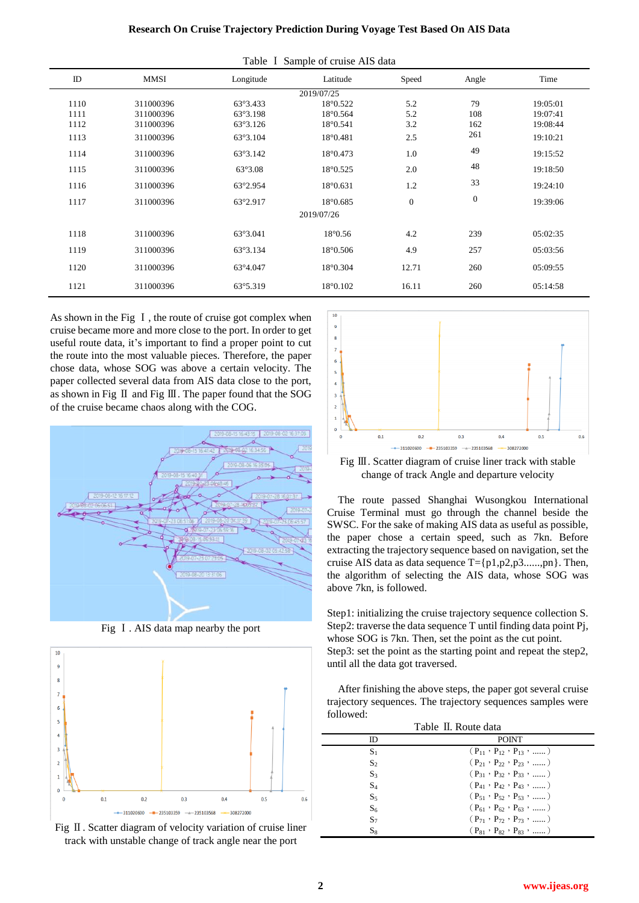| Table I Sample of cruise AIS data |           |                  |                   |                  |              |          |
|-----------------------------------|-----------|------------------|-------------------|------------------|--------------|----------|
| ID                                | MMSI      | Longitude        | Latitude          | Speed            | Angle        | Time     |
| 2019/07/25                        |           |                  |                   |                  |              |          |
| 1110                              | 311000396 | 63°3.433         | 18°0.522          | 5.2              | 79           | 19:05:01 |
| 1111                              | 311000396 | 63°3.198         | $18^{\circ}0.564$ | 5.2              | 108          | 19:07:41 |
| 1112                              | 311000396 | 63°3.126         | 18°0.541          | 3.2              | 162          | 19:08:44 |
| 1113                              | 311000396 | 63°3.104         | 18°0.481          | 2.5              | 261          | 19:10:21 |
| 1114                              | 311000396 | 63°3.142         | 18°0.473          | 1.0              | 49           | 19:15:52 |
| 1115                              | 311000396 | $63^{\circ}3.08$ | 18°0.525          | 2.0              | 48           | 19:18:50 |
| 1116                              | 311000396 | 63°2.954         | 18°0.631          | 1.2              | 33           | 19:24:10 |
| 1117                              | 311000396 | 63°2.917         | 18°0.685          | $\boldsymbol{0}$ | $\mathbf{0}$ | 19:39:06 |
|                                   |           |                  | 2019/07/26        |                  |              |          |
| 1118                              | 311000396 | 63°3.041         | $18^{\circ}0.56$  | 4.2              | 239          | 05:02:35 |
| 1119                              | 311000396 | 63°3.134         | 18°0.506          | 4.9              | 257          | 05:03:56 |
| 1120                              | 311000396 | 63°4.047         | 18°0.304          | 12.71            | 260          | 05:09:55 |
| 1121                              | 311000396 | 63°5.319         | 18°0.102          | 16.11            | 260          | 05:14:58 |

As shown in the Fig I, the route of cruise got complex when cruise became more and more close to the port. In order to get useful route data, it's important to find a proper point to cut the route into the most valuable pieces. Therefore, the paper chose data, whose SOG was above a certain velocity. The paper collected several data from AIS data close to the port, as shown in Fig Ⅱ and Fig Ⅲ. The paper found that the SOG of the cruise became chaos along with the COG.



Fig Ⅰ. AIS data map nearby the port







Fig III. Scatter diagram of cruise liner track with stable change of track Angle and departure velocity

The route passed Shanghai Wusongkou International Cruise Terminal must go through the channel beside the SWSC. For the sake of making AIS data as useful as possible, the paper chose a certain speed, such as 7kn. Before extracting the trajectory sequence based on navigation, set the cruise AIS data as data sequence  $T = \{p1, p2, p3, \ldots, pn\}$ . Then, the algorithm of selecting the AIS data, whose SOG was above 7kn, is followed.

Step1: initializing the cruise trajectory sequence collection S. Step2: traverse the data sequence T until finding data point Pj, whose SOG is 7kn. Then, set the point as the cut point. Step3: set the point as the starting point and repeat the step2, until all the data got traversed.

After finishing the above steps, the paper got several cruise trajectory sequences. The trajectory sequences samples were followed:

| Table II. Route data |                                                   |  |  |  |
|----------------------|---------------------------------------------------|--|--|--|
| ID                   | <b>POINT</b>                                      |  |  |  |
| $S_1$                | $(P_{11}, P_{12}, P_{13}, \ldots)$                |  |  |  |
| $S_2$                | $(P_{21} \cdot P_{22} \cdot P_{23} \cdot \ldots)$ |  |  |  |
| $S_3$                | $(P_{31} \cdot P_{32} \cdot P_{33} \cdot \dots)$  |  |  |  |
| $S_4$                | $(P_{41} \cdot P_{42} \cdot P_{43} \cdot \ldots)$ |  |  |  |
| $S_5$                | $(P_{51}, P_{52}, P_{53}, \ldots)$                |  |  |  |
| S <sub>6</sub>       | $(P_{61} \cdot P_{62} \cdot P_{63} \cdot \ldots)$ |  |  |  |
| $S_7$                | $(P_{71} \cdot P_{72} \cdot P_{73} \cdot \ldots)$ |  |  |  |
| $S_8$                | $(P_{81} \cdot P_{82} \cdot P_{83} \cdot \ldots)$ |  |  |  |
|                      |                                                   |  |  |  |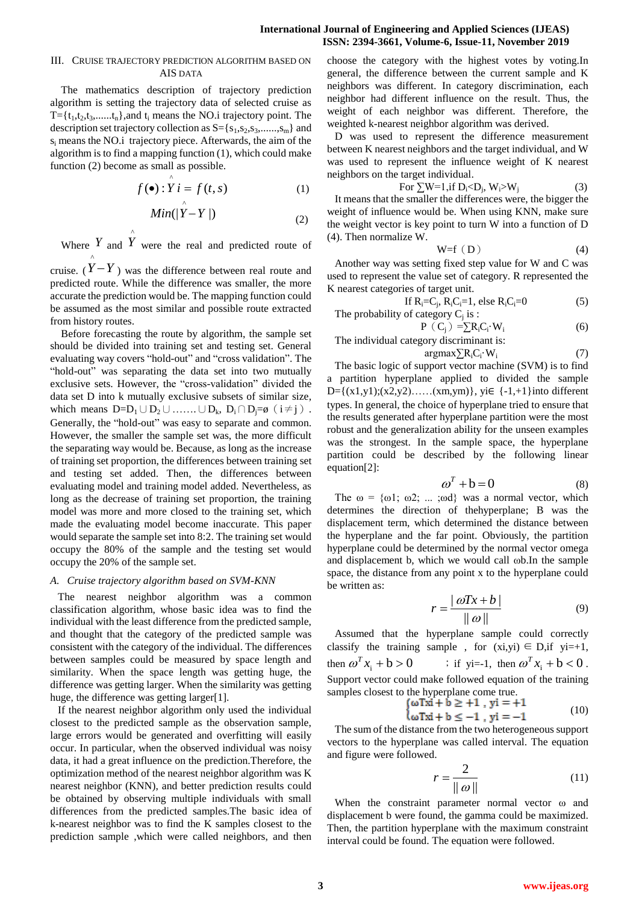### **International Journal of Engineering and Applied Sciences (IJEAS) ISSN: 2394-3661, Volume-6, Issue-11, November 2019**

### III. CRUISE TRAJECTORY PREDICTION ALGORITHM BASED ON AIS DATA

The mathematics description of trajectory prediction algorithm is setting the trajectory data of selected cruise as  $T = \{t_1, t_2, t_3, \ldots, t_n\}$ , and  $t_i$  means the NO.i trajectory point. The description set trajectory collection as  $S = \{s_1, s_2, s_3, \ldots, s_m\}$  and s<sup>i</sup> means the NO.i trajectory piece. Afterwards, the aim of the algorithm is to find a mapping function (1), which could make function (2) become as small as possible.

$$
f(\bullet) : \mathop{Y}\limits^{\wedge} i = f(t, s) \tag{1}
$$

$$
Min(|\stackrel{\wedge}{Y} - Y|)
$$
 (2)

Where *Y* and  $\hat{Y}$  were the real and predicted route of ^

cruise.  $(Y - Y)$  was the difference between real route and predicted route. While the difference was smaller, the more accurate the prediction would be. The mapping function could be assumed as the most similar and possible route extracted from history routes.

Before forecasting the route by algorithm, the sample set should be divided into training set and testing set. General evaluating way covers "hold-out" and "cross validation". The "hold-out" was separating the data set into two mutually exclusive sets. However, the "cross-validation" divided the data set D into k mutually exclusive subsets of similar size, which means  $D=D_1\cup D_2\cup \ldots \ldots \cup D_k$ ,  $D_i\cap D_j=\emptyset$   $(i\neq j)$ . Generally, the "hold-out" was easy to separate and common. However, the smaller the sample set was, the more difficult the separating way would be. Because, as long as the increase of training set proportion, the differences between training set and testing set added. Then, the differences between evaluating model and training model added. Nevertheless, as long as the decrease of training set proportion, the training model was more and more closed to the training set, which made the evaluating model become inaccurate. This paper would separate the sample set into 8:2. The training set would occupy the 80% of the sample and the testing set would occupy the 20% of the sample set.

#### *A. Cruise trajectory algorithm based on SVM-KNN*

The nearest neighbor algorithm was a common classification algorithm, whose basic idea was to find the individual with the least difference from the predicted sample, and thought that the category of the predicted sample was consistent with the category of the individual. The differences between samples could be measured by space length and similarity. When the space length was getting huge, the difference was getting larger. When the similarity was getting huge, the difference was getting larger[1].

If the nearest neighbor algorithm only used the individual closest to the predicted sample as the observation sample, large errors would be generated and overfitting will easily occur. In particular, when the observed individual was noisy data, it had a great influence on the prediction.Therefore, the optimization method of the nearest neighbor algorithm was K nearest neighbor (KNN), and better prediction results could be obtained by observing multiple individuals with small differences from the predicted samples.The basic idea of k-nearest neighbor was to find the K samples closest to the prediction sample ,which were called neighbors, and then choose the category with the highest votes by voting.In general, the difference between the current sample and K neighbors was different. In category discrimination, each neighbor had different influence on the result. Thus, the weight of each neighbor was different. Therefore, the weighted k-nearest neighbor algorithm was derived.

D was used to represent the difference measurement between K nearest neighbors and the target individual, and W was used to represent the influence weight of K nearest neighbors on the target individual.

For 
$$
\sum W=1
$$
, if  $D_i < D_j$ ,  $W_i > W_j$  (3)

It means that the smaller the differences were, the bigger the weight of influence would be. When using KNN, make sure the weight vector is key point to turn W into a function of D (4). Then normalize W.

$$
W=f(D) \tag{4}
$$

Another way was setting fixed step value for W and C was used to represent the value set of category. R represented the K nearest categories of target unit.

If  $R_i = C_j$ ,  $R_i C_i = 1$ , else  $R_i C_i = 0$  (5) The probability of category  $C_j$  is:

$$
P (C_j) = \sum R_i C_i W_i
$$
 (6)

The individual category discriminant is: argmax $\nabla R_iC_i$ ·W<sub>i</sub> (7)

The basic logic of support vector machine (SVM) is to find a partition hyperplane applied to divided the sample D={ $(x1,y1)$ ; $(x2,y2)$ …… $(xm,ym)$ }, yi $\in$  {-1,+1}into different types. In general, the choice of hyperplane tried to ensure that the results generated after hyperplane partition were the most robust and the generalization ability for the unseen examples was the strongest. In the sample space, the hyperplane partition could be described by the following linear equation[2]:

$$
\omega^T + b = 0 \tag{8}
$$

The  $\omega = {\omega1; \omega2; \dots; \omegad}$  was a normal vector, which determines the direction of thehyperplane; B was the displacement term, which determined the distance between the hyperplane and the far point. Obviously, the partition hyperplane could be determined by the normal vector omega and displacement b, which we would call ωb.In the sample space, the distance from any point x to the hyperplane could be written as:

$$
r = \frac{|\omega Tx + b|}{\|\omega\|} \tag{9}
$$

Assumed that the hyperplane sample could correctly classify the training sample, for  $(xi,yi) \in D$ , if  $yi=+1$ , then  $\omega^T x_i + b > 0$  <br>  $\therefore$  if yi=-1, then  $\omega^T x_i + b < 0$ . Support vector could make followed equation of the training samples closest to the hyperplane come true.

$$
\begin{cases} \omega \text{Txi} + \mathbf{b} \ge +1 , \text{ yi } = +1 \\ \omega \text{Txi} + \mathbf{b} \le -1 , \text{ yi } = -1 \end{cases} \tag{10}
$$

The sum of the distance from the two heterogeneous support vectors to the hyperplane was called interval. The equation and figure were followed.

$$
r = \frac{2}{\|\omega\|} \tag{11}
$$

When the constraint parameter normal vector ω and displacement b were found, the gamma could be maximized. Then, the partition hyperplane with the maximum constraint interval could be found. The equation were followed.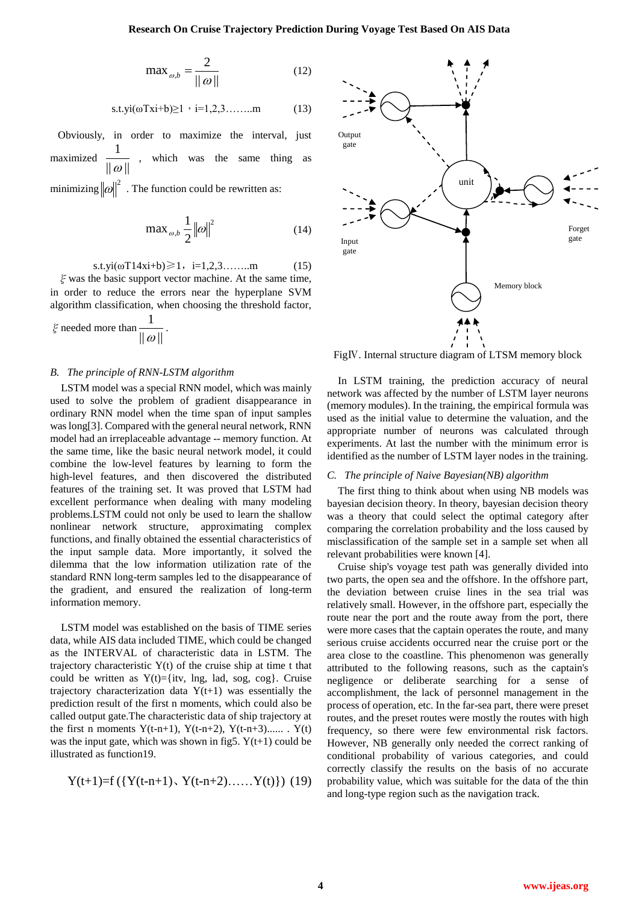$$
\max_{\omega, b} = \frac{2}{\|\omega\|} \tag{12}
$$

s.t.yi(
$$
\omega Tx i+b
$$
) $\geq 1$ , i=1,2,3,......m (13)

Obviously, in order to maximize the interval, just maximized  $\frac{1}{\| \omega \|}$ 1  $\frac{1}{\omega}$ , which was the same thing as

minimizing  $\|\omega\|^2$ . The function could be rewritten as:

$$
\max_{\omega,b} \frac{1}{2} \|\omega\|^2 \tag{14}
$$

s.t.yi( $\omega$ T14xi+b) $\geq 1$ , i=1,2,3……..m (15)

 $\xi$  was the basic support vector machine. At the same time, in order to reduce the errors near the hyperplane SVM algorithm classification, when choosing the threshold factor,

 $\zeta$  needed more than  $\frac{1}{\| \omega \|}$ 1  $\frac{1}{\omega}$ .

#### *B. The principle of RNN-LSTM algorithm*

LSTM model was a special RNN model, which was mainly used to solve the problem of gradient disappearance in ordinary RNN model when the time span of input samples was long[3]. Compared with the general neural network, RNN model had an irreplaceable advantage -- memory function. At the same time, like the basic neural network model, it could combine the low-level features by learning to form the high-level features, and then discovered the distributed features of the training set. It was proved that LSTM had excellent performance when dealing with many modeling problems.LSTM could not only be used to learn the shallow nonlinear network structure, approximating complex functions, and finally obtained the essential characteristics of the input sample data. More importantly, it solved the dilemma that the low information utilization rate of the standard RNN long-term samples led to the disappearance of the gradient, and ensured the realization of long-term information memory.

LSTM model was established on the basis of TIME series data, while AIS data included TIME, which could be changed as the INTERVAL of characteristic data in LSTM. The trajectory characteristic Y(t) of the cruise ship at time t that could be written as  $Y(t) = \{iv, \text{Ing}, \text{lad}, \text{ sog}\}.$  Cruise trajectory characterization data  $Y(t+1)$  was essentially the prediction result of the first n moments, which could also be called output gate.The characteristic data of ship trajectory at the first n moments  $Y(t-n+1)$ ,  $Y(t-n+2)$ ,  $Y(t-n+3)$ ...... .  $Y(t)$ was the input gate, which was shown in fig5.  $Y(t+1)$  could be illustrated as function19.

$$
Y(t+1)=f(\{Y(t-n+1), Y(t-n+2), \ldots, Y(t)\})
$$
 (19)



FigⅣ. Internal structure diagram of LTSM memory block

In LSTM training, the prediction accuracy of neural network was affected by the number of LSTM layer neurons (memory modules). In the training, the empirical formula was used as the initial value to determine the valuation, and the appropriate number of neurons was calculated through experiments. At last the number with the minimum error is identified as the number of LSTM layer nodes in the training.

#### *C. The principle of Naive Bayesian(NB) algorithm*

The first thing to think about when using NB models was bayesian decision theory. In theory, bayesian decision theory was a theory that could select the optimal category after comparing the correlation probability and the loss caused by misclassification of the sample set in a sample set when all relevant probabilities were known [4].

Cruise ship's voyage test path was generally divided into two parts, the open sea and the offshore. In the offshore part, the deviation between cruise lines in the sea trial was relatively small. However, in the offshore part, especially the route near the port and the route away from the port, there were more cases that the captain operates the route, and many serious cruise accidents occurred near the cruise port or the area close to the coastline. This phenomenon was generally attributed to the following reasons, such as the captain's negligence or deliberate searching for a sense of accomplishment, the lack of personnel management in the process of operation, etc. In the far-sea part, there were preset routes, and the preset routes were mostly the routes with high frequency, so there were few environmental risk factors. However, NB generally only needed the correct ranking of conditional probability of various categories, and could correctly classify the results on the basis of no accurate probability value, which was suitable for the data of the thin and long-type region such as the navigation track.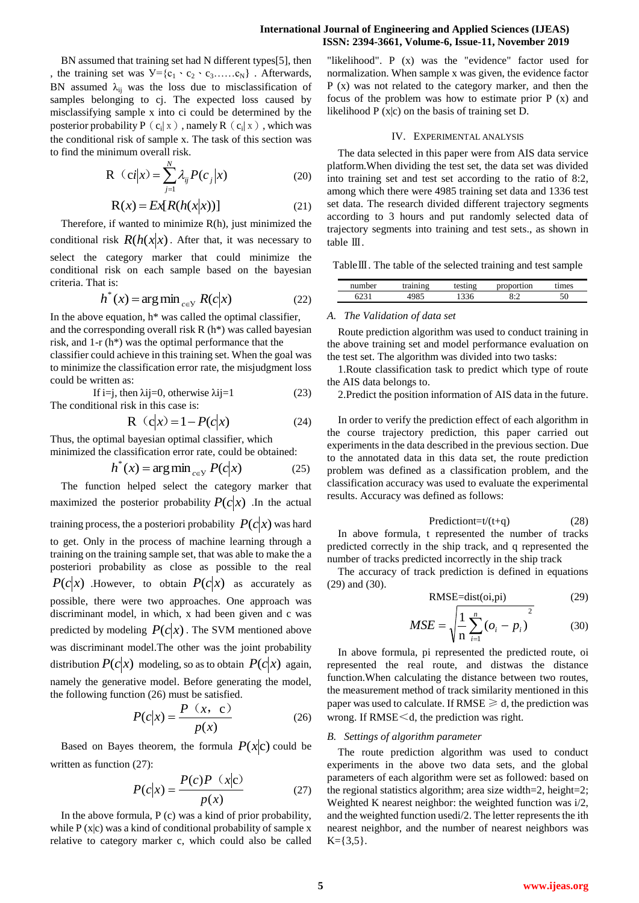### **International Journal of Engineering and Applied Sciences (IJEAS) ISSN: 2394-3661, Volume-6, Issue-11, November 2019**

BN assumed that training set had N different types[5], then , the training set was  $V = \{c_1 \cdot c_2 \cdot c_3 \dots c_N\}$ . Afterwards, BN assumed  $\lambda_{ij}$  was the loss due to misclassification of samples belonging to cj. The expected loss caused by misclassifying sample x into ci could be determined by the posterior probability P  $(c_i | x)$ , namely R  $(c_i | x)$ , which was the conditional risk of sample x. The task of this section was to find the minimum overall risk.

$$
R (ci|x) = \sum_{j=1}^{N} \lambda_{ij} P(c_j|x)
$$
 (20)

$$
R(x) = Ex[R(h(x|x))]
$$
 (21)

Therefore, if wanted to minimize R(h), just minimized the conditional risk  $R(h(x|x))$ . After that, it was necessary to select the category marker that could minimize the conditional risk on each sample based on the bayesian criteria. That is:

$$
h^*(x) = \arg\min_{c \in \mathcal{Y}} R(c|x)
$$
 (22)

In the above equation,  $h^*$  was called the optimal classifier, and the corresponding overall risk R (h\*) was called bayesian risk, and 1-r (h\*) was the optimal performance that the classifier could achieve in this training set. When the goal was to minimize the classification error rate, the misjudgment loss could be written as:

If i=j, then  $\lambda$ ij=0, otherwise  $\lambda$ ij=1 (23) The conditional risk in this case is:

$$
R (c|x) = 1 - P(c|x)
$$
 (24)

Thus, the optimal bayesian optimal classifier, which minimized the classification error rate, could be obtained:

$$
h^*(x) = \arg\min_{c \in \mathcal{Y}} P(c|x)
$$
 (25)

The function helped select the category marker that maximized the posterior probability  $P(c|x)$ . In the actual training process, the a posteriori probability  $P(c|x)$  was hard to get. Only in the process of machine learning through a training on the training sample set, that was able to make the a posteriori probability as close as possible to the real  $P(c|x)$  .However, to obtain  $P(c|x)$  as accurately as possible, there were two approaches. One approach was discriminant model, in which, x had been given and c was predicted by modeling  $P(c|x)$ . The SVM mentioned above was discriminant model.The other was the joint probability distribution  $P(c|x)$  modeling, so as to obtain  $P(c|x)$  again, namely the generative model. Before generating the model, the following function (26) must be satisfied.

$$
P(c|x) = \frac{P(x, c)}{p(x)}
$$
 (26)

Based on Bayes theorem, the formula  $P(x|c)$  could be written as function (27):

$$
P(c|x) = \frac{P(c)P(x|c)}{p(x)}
$$
 (27)

In the above formula,  $P(c)$  was a kind of prior probability, while  $P(x|c)$  was a kind of conditional probability of sample x relative to category marker c, which could also be called

"likelihood". P (x) was the "evidence" factor used for normalization. When sample x was given, the evidence factor P (x) was not related to the category marker, and then the focus of the problem was how to estimate prior  $P(x)$  and likelihood  $P(x|c)$  on the basis of training set D.

### IV. EXPERIMENTAL ANALYSIS

The data selected in this paper were from AIS data service platform.When dividing the test set, the data set was divided into training set and test set according to the ratio of 8:2, among which there were 4985 training set data and 1336 test set data. The research divided different trajectory segments according to 3 hours and put randomly selected data of trajectory segments into training and test sets., as shown in table Ⅲ.

TableⅢ. The table of the selected training and test sample

| num<br>her | $-200$ |     | `10n                          |    |  |
|------------|--------|-----|-------------------------------|----|--|
|            |        | 336 | $\mathcal{Q}$ . $\mathcal{C}$ | 50 |  |

#### *A. The Validation of data set*

Route prediction algorithm was used to conduct training in the above training set and model performance evaluation on the test set. The algorithm was divided into two tasks:

1.Route classification task to predict which type of route the AIS data belongs to.

2.Predict the position information of AIS data in the future.

In order to verify the prediction effect of each algorithm in the course trajectory prediction, this paper carried out experiments in the data described in the previous section. Due to the annotated data in this data set, the route prediction problem was defined as a classification problem, and the classification accuracy was used to evaluate the experimental results. Accuracy was defined as follows:

$$
Predictiont=t/(t+q)
$$
 (28)

In above formula, t represented the number of tracks predicted correctly in the ship track, and q represented the number of tracks predicted incorrectly in the ship track

The accuracy of track prediction is defined in equations (29) and (30).

$$
RMSE = dist(oi, pi)
$$
 (29)

$$
MSE = \sqrt{\frac{1}{n} \sum_{i=1}^{n} (o_i - p_i)^2}
$$
 (30)

In above formula, pi represented the predicted route, oi represented the real route, and distwas the distance function.When calculating the distance between two routes, the measurement method of track similarity mentioned in this paper was used to calculate. If RMSE  $\geq d$ , the prediction was wrong. If RMSE<d, the prediction was right.

#### *B. Settings of algorithm parameter*

The route prediction algorithm was used to conduct experiments in the above two data sets, and the global parameters of each algorithm were set as followed: based on the regional statistics algorithm; area size width=2, height=2; Weighted K nearest neighbor: the weighted function was i/2, and the weighted function usedi/2. The letter represents the ith nearest neighbor, and the number of nearest neighbors was  $K = \{3, 5\}.$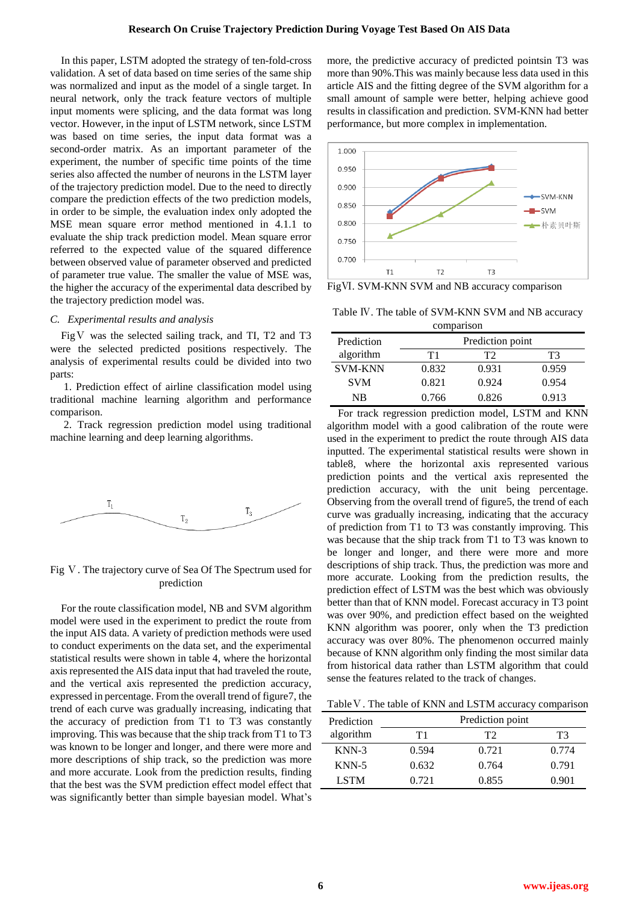In this paper, LSTM adopted the strategy of ten-fold-cross validation. A set of data based on time series of the same ship was normalized and input as the model of a single target. In neural network, only the track feature vectors of multiple input moments were splicing, and the data format was long vector. However, in the input of LSTM network, since LSTM was based on time series, the input data format was a second-order matrix. As an important parameter of the experiment, the number of specific time points of the time series also affected the number of neurons in the LSTM layer of the trajectory prediction model. Due to the need to directly compare the prediction effects of the two prediction models, in order to be simple, the evaluation index only adopted the MSE mean square error method mentioned in 4.1.1 to evaluate the ship track prediction model. Mean square error referred to the expected value of the squared difference between observed value of parameter observed and predicted of parameter true value. The smaller the value of MSE was, the higher the accuracy of the experimental data described by the trajectory prediction model was.

### *C. Experimental results and analysis*

Fig V was the selected sailing track, and TI, T2 and T3 were the selected predicted positions respectively. The analysis of experimental results could be divided into two parts:

1. Prediction effect of airline classification model using traditional machine learning algorithm and performance comparison.

2. Track regression prediction model using traditional machine learning and deep learning algorithms.



## Fig Ⅴ. The trajectory curve of Sea Of The Spectrum used for prediction

For the route classification model, NB and SVM algorithm model were used in the experiment to predict the route from the input AIS data. A variety of prediction methods were used to conduct experiments on the data set, and the experimental statistical results were shown in table 4, where the horizontal axis represented the AIS data input that had traveled the route, and the vertical axis represented the prediction accuracy, expressed in percentage. From the overall trend of figure7, the trend of each curve was gradually increasing, indicating that the accuracy of prediction from T1 to T3 was constantly improving. This was because that the ship track from T1 to T3 was known to be longer and longer, and there were more and more descriptions of ship track, so the prediction was more and more accurate. Look from the prediction results, finding that the best was the SVM prediction effect model effect that was significantly better than simple bayesian model. What's

more, the predictive accuracy of predicted pointsin T3 was more than 90%.This was mainly because less data used in this article AIS and the fitting degree of the SVM algorithm for a small amount of sample were better, helping achieve good results in classification and prediction. SVM-KNN had better performance, but more complex in implementation.



FigⅥ. SVM-KNN SVM and NB accuracy comparison

Table Ⅳ. The table of SVM-KNN SVM and NB accuracy comparison

| COMPANYON      |       |                  |       |  |  |
|----------------|-------|------------------|-------|--|--|
| Prediction     |       | Prediction point |       |  |  |
| algorithm      | T1    | т2               | T3    |  |  |
| <b>SVM-KNN</b> | 0.832 | 0.931            | 0.959 |  |  |
| <b>SVM</b>     | 0.821 | 0.924            | 0.954 |  |  |
| NB             | 0.766 | 0.826            | 0.913 |  |  |

For track regression prediction model, LSTM and KNN algorithm model with a good calibration of the route were used in the experiment to predict the route through AIS data inputted. The experimental statistical results were shown in table8, where the horizontal axis represented various prediction points and the vertical axis represented the prediction accuracy, with the unit being percentage. Observing from the overall trend of figure5, the trend of each curve was gradually increasing, indicating that the accuracy of prediction from T1 to T3 was constantly improving. This was because that the ship track from T1 to T3 was known to be longer and longer, and there were more and more descriptions of ship track. Thus, the prediction was more and more accurate. Looking from the prediction results, the prediction effect of LSTM was the best which was obviously better than that of KNN model. Forecast accuracy in T3 point was over 90%, and prediction effect based on the weighted KNN algorithm was poorer, only when the T3 prediction accuracy was over 80%. The phenomenon occurred mainly because of KNN algorithm only finding the most similar data from historical data rather than LSTM algorithm that could sense the features related to the track of changes.

Table V. The table of KNN and LSTM accuracy comparison

| Prediction  |       | Prediction point |       |
|-------------|-------|------------------|-------|
| algorithm   | T 1   | T2               | T3    |
| $KNN-3$     | 0.594 | 0.721            | 0.774 |
| $KNN-5$     | 0.632 | 0.764            | 0.791 |
| <b>LSTM</b> | 0.721 | 0.855            | 0.901 |